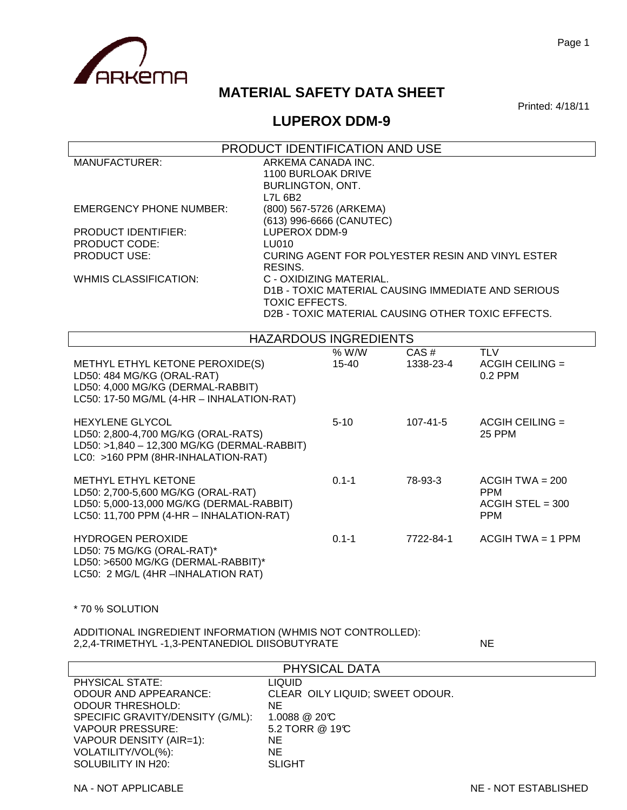

# **MATERIAL SAFETY DATA SHEET**

Printed: 4/18/11

### **LUPEROX DDM-9**

|                                                                                                                                                    |                                                              | PRODUCT IDENTIFICATION AND USE |                   |                                                                                                         |
|----------------------------------------------------------------------------------------------------------------------------------------------------|--------------------------------------------------------------|--------------------------------|-------------------|---------------------------------------------------------------------------------------------------------|
| <b>MANUFACTURER:</b>                                                                                                                               | ARKEMA CANADA INC.<br>1100 BURLOAK DRIVE<br>BURLINGTON, ONT. |                                |                   |                                                                                                         |
| <b>EMERGENCY PHONE NUMBER:</b><br>PRODUCT IDENTIFIER:<br><b>PRODUCT CODE:</b><br><b>PRODUCT USE:</b>                                               | L7L 6B2<br>(800) 567-5726 (ARKEMA)<br>LUPEROX DDM-9<br>LU010 | (613) 996-6666 (CANUTEC)       |                   | CURING AGENT FOR POLYESTER RESIN AND VINYL ESTER                                                        |
| <b>WHMIS CLASSIFICATION:</b>                                                                                                                       | RESINS.<br>C - OXIDIZING MATERIAL.<br><b>TOXIC EFFECTS.</b>  |                                |                   | D1B - TOXIC MATERIAL CAUSING IMMEDIATE AND SERIOUS<br>D2B - TOXIC MATERIAL CAUSING OTHER TOXIC EFFECTS. |
|                                                                                                                                                    |                                                              | <b>HAZARDOUS INGREDIENTS</b>   |                   |                                                                                                         |
| METHYL ETHYL KETONE PEROXIDE(S)<br>LD50: 484 MG/KG (ORAL-RAT)<br>LD50: 4,000 MG/KG (DERMAL-RABBIT)<br>LC50: 17-50 MG/ML (4-HR - INHALATION-RAT)    |                                                              | % W/W<br>$15 - 40$             | CAS#<br>1338-23-4 | <b>TLV</b><br>$ACGIH$ CEILING =<br>0.2 PPM                                                              |
| <b>HEXYLENE GLYCOL</b><br>LD50: 2,800-4,700 MG/KG (ORAL-RATS)<br>LD50: >1,840 - 12,300 MG/KG (DERMAL-RABBIT)<br>LC0: >160 PPM (8HR-INHALATION-RAT) |                                                              | $5 - 10$                       | $107 - 41 - 5$    | $ACGIH$ CEILING =<br>25 PPM                                                                             |
| METHYL ETHYL KETONE<br>LD50: 2,700-5,600 MG/KG (ORAL-RAT)<br>LD50: 5,000-13,000 MG/KG (DERMAL-RABBIT)<br>LC50: 11,700 PPM (4-HR - INHALATION-RAT)  |                                                              | $0.1 - 1$                      | 78-93-3           | $ACGIH TWA = 200$<br><b>PPM</b><br>$ACGIH$ STEL = 300<br><b>PPM</b>                                     |
| <b>HYDROGEN PEROXIDE</b><br>LD50: 75 MG/KG (ORAL-RAT)*<br>LD50: >6500 MG/KG (DERMAL-RABBIT)*                                                       |                                                              | $0.1 - 1$                      | 7722-84-1         | $ACGIH TWA = 1 PPM$                                                                                     |

LC50: 2 MG/L (4HR –INHALATION RAT)

\* 70 % SOLUTION

ADDITIONAL INGREDIENT INFORMATION (WHMIS NOT CONTROLLED): 2,2,4-TRIMETHYL -1,3-PENTANEDIOL DIISOBUTYRATE

| PHYSICAL DATA                    |                                 |  |  |
|----------------------------------|---------------------------------|--|--|
| PHYSICAL STATE:                  | <b>LIQUID</b>                   |  |  |
| ODOUR AND APPEARANCE:            | CLEAR OILY LIQUID; SWEET ODOUR. |  |  |
| <b>ODOUR THRESHOLD:</b>          | ΝE                              |  |  |
| SPECIFIC GRAVITY/DENSITY (G/ML): | $1.0088 \ @ \ 20 \text{C}$      |  |  |
| <b>VAPOUR PRESSURE:</b>          | 5.2 TORR @ 19°C                 |  |  |
| VAPOUR DENSITY (AIR=1):          | NE.                             |  |  |
| VOLATILITY/VOL(%):               | ΝE                              |  |  |
| SOLUBILITY IN H20:               | <b>SLIGHT</b>                   |  |  |

NA - NOT APPLICABLE NE - NOT APPLICABLE NE - NOT ESTABLISHED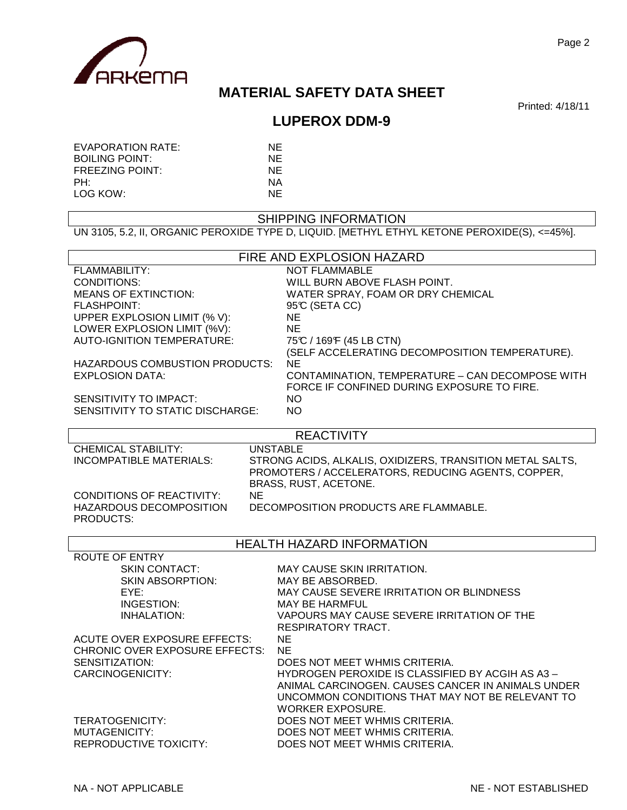

# **MATERIAL SAFETY DATA SHEET**

Printed: 4/18/11

# **LUPEROX DDM-9**

| EVAPORATION RATE:      | NF. |
|------------------------|-----|
| <b>BOILING POINT:</b>  | NF  |
| <b>FREEZING POINT:</b> | NF. |
| PH:                    | ΝA  |
| LOG KOW:               | NF. |

#### SHIPPING INFORMATION

UN 3105, 5.2, II, ORGANIC PEROXIDE TYPE D, LIQUID. [METHYL ETHYL KETONE PEROXIDE(S), <=45%].

| <b>NOT FLAMMABLE</b><br>FLAMMABILITY:<br><b>CONDITIONS:</b><br>WILL BURN ABOVE FLASH POINT.<br><b>MEANS OF EXTINCTION:</b><br>WATER SPRAY, FOAM OR DRY CHEMICAL<br><b>FLASHPOINT:</b><br>95°C (SETA CC)<br>UPPER EXPLOSION LIMIT (% V):<br>NE.<br>LOWER EXPLOSION LIMIT (%V):<br>NE.<br><b>AUTO-IGNITION TEMPERATURE:</b><br>75°C / 169°F (45 LB CTN)<br>(SELF ACCELERATING DECOMPOSITION TEMPERATURE).<br>HAZARDOUS COMBUSTION PRODUCTS:<br><b>NE</b><br>CONTAMINATION, TEMPERATURE - CAN DECOMPOSE WITH<br><b>EXPLOSION DATA:</b><br>FORCE IF CONFINED DURING EXPOSURE TO FIRE.<br>SENSITIVITY TO IMPACT:<br>NO.<br>SENSITIVITY TO STATIC DISCHARGE:<br>NO.<br><b>REACTIVITY</b><br><b>CHEMICAL STABILITY:</b><br><b>UNSTABLE</b><br><b>INCOMPATIBLE MATERIALS:</b><br>STRONG ACIDS, ALKALIS, OXIDIZERS, TRANSITION METAL SALTS,<br>PROMOTERS / ACCELERATORS, REDUCING AGENTS, COPPER,<br>BRASS, RUST, ACETONE.<br><b>CONDITIONS OF REACTIVITY:</b><br><b>NE</b><br>HAZARDOUS DECOMPOSITION<br>DECOMPOSITION PRODUCTS ARE FLAMMABLE.<br>PRODUCTS:<br><b>HEALTH HAZARD INFORMATION</b><br><b>ROUTE OF ENTRY</b><br><b>SKIN CONTACT:</b><br>MAY CAUSE SKIN IRRITATION.<br><b>SKIN ABSORPTION:</b><br>MAY BE ABSORBED.<br>MAY CAUSE SEVERE IRRITATION OR BLINDNESS<br>EYE:<br>INGESTION:<br><b>MAY BE HARMFUL</b><br><b>INHALATION:</b><br>VAPOURS MAY CAUSE SEVERE IRRITATION OF THE<br>RESPIRATORY TRACT.<br><b>ACUTE OVER EXPOSURE EFFECTS:</b><br>NE<br>CHRONIC OVER EXPOSURE EFFECTS:<br>NE.<br>SENSITIZATION:<br>DOES NOT MEET WHMIS CRITERIA.<br>HYDROGEN PEROXIDE IS CLASSIFIED BY ACGIH AS A3 -<br>CARCINOGENICITY:<br>ANIMAL CARCINOGEN. CAUSES CANCER IN ANIMALS UNDER<br>UNCOMMON CONDITIONS THAT MAY NOT BE RELEVANT TO<br><b>WORKER EXPOSURE.</b><br>DOES NOT MEET WHMIS CRITERIA.<br><b>TERATOGENICITY:</b><br>MUTAGENICITY:<br>DOES NOT MEET WHMIS CRITERIA.<br><b>REPRODUCTIVE TOXICITY:</b><br>DOES NOT MEET WHMIS CRITERIA. | FIRE AND EXPLOSION HAZARD |  |  |
|-----------------------------------------------------------------------------------------------------------------------------------------------------------------------------------------------------------------------------------------------------------------------------------------------------------------------------------------------------------------------------------------------------------------------------------------------------------------------------------------------------------------------------------------------------------------------------------------------------------------------------------------------------------------------------------------------------------------------------------------------------------------------------------------------------------------------------------------------------------------------------------------------------------------------------------------------------------------------------------------------------------------------------------------------------------------------------------------------------------------------------------------------------------------------------------------------------------------------------------------------------------------------------------------------------------------------------------------------------------------------------------------------------------------------------------------------------------------------------------------------------------------------------------------------------------------------------------------------------------------------------------------------------------------------------------------------------------------------------------------------------------------------------------------------------------------------------------------------------------------------------------------------------------------------------------------------|---------------------------|--|--|
|                                                                                                                                                                                                                                                                                                                                                                                                                                                                                                                                                                                                                                                                                                                                                                                                                                                                                                                                                                                                                                                                                                                                                                                                                                                                                                                                                                                                                                                                                                                                                                                                                                                                                                                                                                                                                                                                                                                                               |                           |  |  |
|                                                                                                                                                                                                                                                                                                                                                                                                                                                                                                                                                                                                                                                                                                                                                                                                                                                                                                                                                                                                                                                                                                                                                                                                                                                                                                                                                                                                                                                                                                                                                                                                                                                                                                                                                                                                                                                                                                                                               |                           |  |  |
|                                                                                                                                                                                                                                                                                                                                                                                                                                                                                                                                                                                                                                                                                                                                                                                                                                                                                                                                                                                                                                                                                                                                                                                                                                                                                                                                                                                                                                                                                                                                                                                                                                                                                                                                                                                                                                                                                                                                               |                           |  |  |
|                                                                                                                                                                                                                                                                                                                                                                                                                                                                                                                                                                                                                                                                                                                                                                                                                                                                                                                                                                                                                                                                                                                                                                                                                                                                                                                                                                                                                                                                                                                                                                                                                                                                                                                                                                                                                                                                                                                                               |                           |  |  |
|                                                                                                                                                                                                                                                                                                                                                                                                                                                                                                                                                                                                                                                                                                                                                                                                                                                                                                                                                                                                                                                                                                                                                                                                                                                                                                                                                                                                                                                                                                                                                                                                                                                                                                                                                                                                                                                                                                                                               |                           |  |  |
|                                                                                                                                                                                                                                                                                                                                                                                                                                                                                                                                                                                                                                                                                                                                                                                                                                                                                                                                                                                                                                                                                                                                                                                                                                                                                                                                                                                                                                                                                                                                                                                                                                                                                                                                                                                                                                                                                                                                               |                           |  |  |
|                                                                                                                                                                                                                                                                                                                                                                                                                                                                                                                                                                                                                                                                                                                                                                                                                                                                                                                                                                                                                                                                                                                                                                                                                                                                                                                                                                                                                                                                                                                                                                                                                                                                                                                                                                                                                                                                                                                                               |                           |  |  |
|                                                                                                                                                                                                                                                                                                                                                                                                                                                                                                                                                                                                                                                                                                                                                                                                                                                                                                                                                                                                                                                                                                                                                                                                                                                                                                                                                                                                                                                                                                                                                                                                                                                                                                                                                                                                                                                                                                                                               |                           |  |  |
|                                                                                                                                                                                                                                                                                                                                                                                                                                                                                                                                                                                                                                                                                                                                                                                                                                                                                                                                                                                                                                                                                                                                                                                                                                                                                                                                                                                                                                                                                                                                                                                                                                                                                                                                                                                                                                                                                                                                               |                           |  |  |
|                                                                                                                                                                                                                                                                                                                                                                                                                                                                                                                                                                                                                                                                                                                                                                                                                                                                                                                                                                                                                                                                                                                                                                                                                                                                                                                                                                                                                                                                                                                                                                                                                                                                                                                                                                                                                                                                                                                                               |                           |  |  |
|                                                                                                                                                                                                                                                                                                                                                                                                                                                                                                                                                                                                                                                                                                                                                                                                                                                                                                                                                                                                                                                                                                                                                                                                                                                                                                                                                                                                                                                                                                                                                                                                                                                                                                                                                                                                                                                                                                                                               |                           |  |  |
|                                                                                                                                                                                                                                                                                                                                                                                                                                                                                                                                                                                                                                                                                                                                                                                                                                                                                                                                                                                                                                                                                                                                                                                                                                                                                                                                                                                                                                                                                                                                                                                                                                                                                                                                                                                                                                                                                                                                               |                           |  |  |
|                                                                                                                                                                                                                                                                                                                                                                                                                                                                                                                                                                                                                                                                                                                                                                                                                                                                                                                                                                                                                                                                                                                                                                                                                                                                                                                                                                                                                                                                                                                                                                                                                                                                                                                                                                                                                                                                                                                                               |                           |  |  |
|                                                                                                                                                                                                                                                                                                                                                                                                                                                                                                                                                                                                                                                                                                                                                                                                                                                                                                                                                                                                                                                                                                                                                                                                                                                                                                                                                                                                                                                                                                                                                                                                                                                                                                                                                                                                                                                                                                                                               |                           |  |  |
|                                                                                                                                                                                                                                                                                                                                                                                                                                                                                                                                                                                                                                                                                                                                                                                                                                                                                                                                                                                                                                                                                                                                                                                                                                                                                                                                                                                                                                                                                                                                                                                                                                                                                                                                                                                                                                                                                                                                               |                           |  |  |
|                                                                                                                                                                                                                                                                                                                                                                                                                                                                                                                                                                                                                                                                                                                                                                                                                                                                                                                                                                                                                                                                                                                                                                                                                                                                                                                                                                                                                                                                                                                                                                                                                                                                                                                                                                                                                                                                                                                                               |                           |  |  |
|                                                                                                                                                                                                                                                                                                                                                                                                                                                                                                                                                                                                                                                                                                                                                                                                                                                                                                                                                                                                                                                                                                                                                                                                                                                                                                                                                                                                                                                                                                                                                                                                                                                                                                                                                                                                                                                                                                                                               |                           |  |  |
|                                                                                                                                                                                                                                                                                                                                                                                                                                                                                                                                                                                                                                                                                                                                                                                                                                                                                                                                                                                                                                                                                                                                                                                                                                                                                                                                                                                                                                                                                                                                                                                                                                                                                                                                                                                                                                                                                                                                               |                           |  |  |
|                                                                                                                                                                                                                                                                                                                                                                                                                                                                                                                                                                                                                                                                                                                                                                                                                                                                                                                                                                                                                                                                                                                                                                                                                                                                                                                                                                                                                                                                                                                                                                                                                                                                                                                                                                                                                                                                                                                                               |                           |  |  |
|                                                                                                                                                                                                                                                                                                                                                                                                                                                                                                                                                                                                                                                                                                                                                                                                                                                                                                                                                                                                                                                                                                                                                                                                                                                                                                                                                                                                                                                                                                                                                                                                                                                                                                                                                                                                                                                                                                                                               |                           |  |  |
|                                                                                                                                                                                                                                                                                                                                                                                                                                                                                                                                                                                                                                                                                                                                                                                                                                                                                                                                                                                                                                                                                                                                                                                                                                                                                                                                                                                                                                                                                                                                                                                                                                                                                                                                                                                                                                                                                                                                               |                           |  |  |
|                                                                                                                                                                                                                                                                                                                                                                                                                                                                                                                                                                                                                                                                                                                                                                                                                                                                                                                                                                                                                                                                                                                                                                                                                                                                                                                                                                                                                                                                                                                                                                                                                                                                                                                                                                                                                                                                                                                                               |                           |  |  |
|                                                                                                                                                                                                                                                                                                                                                                                                                                                                                                                                                                                                                                                                                                                                                                                                                                                                                                                                                                                                                                                                                                                                                                                                                                                                                                                                                                                                                                                                                                                                                                                                                                                                                                                                                                                                                                                                                                                                               |                           |  |  |
|                                                                                                                                                                                                                                                                                                                                                                                                                                                                                                                                                                                                                                                                                                                                                                                                                                                                                                                                                                                                                                                                                                                                                                                                                                                                                                                                                                                                                                                                                                                                                                                                                                                                                                                                                                                                                                                                                                                                               |                           |  |  |
|                                                                                                                                                                                                                                                                                                                                                                                                                                                                                                                                                                                                                                                                                                                                                                                                                                                                                                                                                                                                                                                                                                                                                                                                                                                                                                                                                                                                                                                                                                                                                                                                                                                                                                                                                                                                                                                                                                                                               |                           |  |  |
|                                                                                                                                                                                                                                                                                                                                                                                                                                                                                                                                                                                                                                                                                                                                                                                                                                                                                                                                                                                                                                                                                                                                                                                                                                                                                                                                                                                                                                                                                                                                                                                                                                                                                                                                                                                                                                                                                                                                               |                           |  |  |
|                                                                                                                                                                                                                                                                                                                                                                                                                                                                                                                                                                                                                                                                                                                                                                                                                                                                                                                                                                                                                                                                                                                                                                                                                                                                                                                                                                                                                                                                                                                                                                                                                                                                                                                                                                                                                                                                                                                                               |                           |  |  |
|                                                                                                                                                                                                                                                                                                                                                                                                                                                                                                                                                                                                                                                                                                                                                                                                                                                                                                                                                                                                                                                                                                                                                                                                                                                                                                                                                                                                                                                                                                                                                                                                                                                                                                                                                                                                                                                                                                                                               |                           |  |  |
|                                                                                                                                                                                                                                                                                                                                                                                                                                                                                                                                                                                                                                                                                                                                                                                                                                                                                                                                                                                                                                                                                                                                                                                                                                                                                                                                                                                                                                                                                                                                                                                                                                                                                                                                                                                                                                                                                                                                               |                           |  |  |
|                                                                                                                                                                                                                                                                                                                                                                                                                                                                                                                                                                                                                                                                                                                                                                                                                                                                                                                                                                                                                                                                                                                                                                                                                                                                                                                                                                                                                                                                                                                                                                                                                                                                                                                                                                                                                                                                                                                                               |                           |  |  |
|                                                                                                                                                                                                                                                                                                                                                                                                                                                                                                                                                                                                                                                                                                                                                                                                                                                                                                                                                                                                                                                                                                                                                                                                                                                                                                                                                                                                                                                                                                                                                                                                                                                                                                                                                                                                                                                                                                                                               |                           |  |  |
|                                                                                                                                                                                                                                                                                                                                                                                                                                                                                                                                                                                                                                                                                                                                                                                                                                                                                                                                                                                                                                                                                                                                                                                                                                                                                                                                                                                                                                                                                                                                                                                                                                                                                                                                                                                                                                                                                                                                               |                           |  |  |
|                                                                                                                                                                                                                                                                                                                                                                                                                                                                                                                                                                                                                                                                                                                                                                                                                                                                                                                                                                                                                                                                                                                                                                                                                                                                                                                                                                                                                                                                                                                                                                                                                                                                                                                                                                                                                                                                                                                                               |                           |  |  |
|                                                                                                                                                                                                                                                                                                                                                                                                                                                                                                                                                                                                                                                                                                                                                                                                                                                                                                                                                                                                                                                                                                                                                                                                                                                                                                                                                                                                                                                                                                                                                                                                                                                                                                                                                                                                                                                                                                                                               |                           |  |  |
|                                                                                                                                                                                                                                                                                                                                                                                                                                                                                                                                                                                                                                                                                                                                                                                                                                                                                                                                                                                                                                                                                                                                                                                                                                                                                                                                                                                                                                                                                                                                                                                                                                                                                                                                                                                                                                                                                                                                               |                           |  |  |
|                                                                                                                                                                                                                                                                                                                                                                                                                                                                                                                                                                                                                                                                                                                                                                                                                                                                                                                                                                                                                                                                                                                                                                                                                                                                                                                                                                                                                                                                                                                                                                                                                                                                                                                                                                                                                                                                                                                                               |                           |  |  |
|                                                                                                                                                                                                                                                                                                                                                                                                                                                                                                                                                                                                                                                                                                                                                                                                                                                                                                                                                                                                                                                                                                                                                                                                                                                                                                                                                                                                                                                                                                                                                                                                                                                                                                                                                                                                                                                                                                                                               |                           |  |  |
|                                                                                                                                                                                                                                                                                                                                                                                                                                                                                                                                                                                                                                                                                                                                                                                                                                                                                                                                                                                                                                                                                                                                                                                                                                                                                                                                                                                                                                                                                                                                                                                                                                                                                                                                                                                                                                                                                                                                               |                           |  |  |
|                                                                                                                                                                                                                                                                                                                                                                                                                                                                                                                                                                                                                                                                                                                                                                                                                                                                                                                                                                                                                                                                                                                                                                                                                                                                                                                                                                                                                                                                                                                                                                                                                                                                                                                                                                                                                                                                                                                                               |                           |  |  |
|                                                                                                                                                                                                                                                                                                                                                                                                                                                                                                                                                                                                                                                                                                                                                                                                                                                                                                                                                                                                                                                                                                                                                                                                                                                                                                                                                                                                                                                                                                                                                                                                                                                                                                                                                                                                                                                                                                                                               |                           |  |  |
|                                                                                                                                                                                                                                                                                                                                                                                                                                                                                                                                                                                                                                                                                                                                                                                                                                                                                                                                                                                                                                                                                                                                                                                                                                                                                                                                                                                                                                                                                                                                                                                                                                                                                                                                                                                                                                                                                                                                               |                           |  |  |
|                                                                                                                                                                                                                                                                                                                                                                                                                                                                                                                                                                                                                                                                                                                                                                                                                                                                                                                                                                                                                                                                                                                                                                                                                                                                                                                                                                                                                                                                                                                                                                                                                                                                                                                                                                                                                                                                                                                                               |                           |  |  |
|                                                                                                                                                                                                                                                                                                                                                                                                                                                                                                                                                                                                                                                                                                                                                                                                                                                                                                                                                                                                                                                                                                                                                                                                                                                                                                                                                                                                                                                                                                                                                                                                                                                                                                                                                                                                                                                                                                                                               |                           |  |  |
|                                                                                                                                                                                                                                                                                                                                                                                                                                                                                                                                                                                                                                                                                                                                                                                                                                                                                                                                                                                                                                                                                                                                                                                                                                                                                                                                                                                                                                                                                                                                                                                                                                                                                                                                                                                                                                                                                                                                               |                           |  |  |
|                                                                                                                                                                                                                                                                                                                                                                                                                                                                                                                                                                                                                                                                                                                                                                                                                                                                                                                                                                                                                                                                                                                                                                                                                                                                                                                                                                                                                                                                                                                                                                                                                                                                                                                                                                                                                                                                                                                                               |                           |  |  |